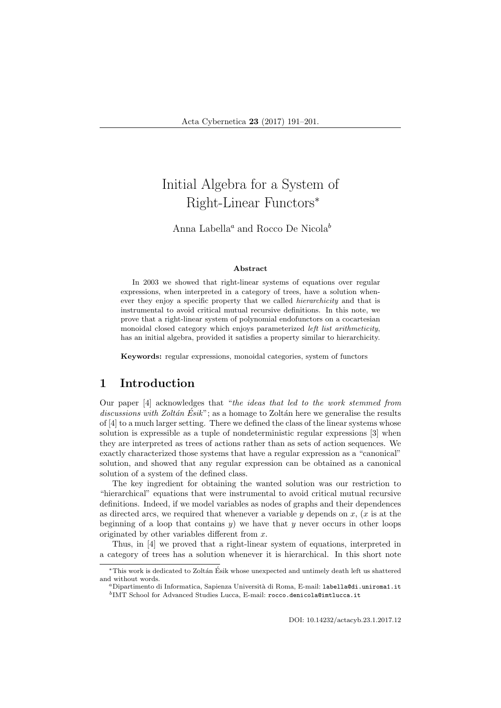# Initial Algebra for a System of Right-Linear Functors<sup>∗</sup>

Anna Labella<sup>a</sup> and Rocco De Nicola<sup>b</sup>

#### Abstract

In 2003 we showed that right-linear systems of equations over regular expressions, when interpreted in a category of trees, have a solution whenever they enjoy a specific property that we called hierarchicity and that is instrumental to avoid critical mutual recursive definitions. In this note, we prove that a right-linear system of polynomial endofunctors on a cocartesian monoidal closed category which enjoys parameterized left list arithmeticity, has an initial algebra, provided it satisfies a property similar to hierarchicity.

Keywords: regular expressions, monoidal categories, system of functors

# 1 Introduction

Our paper [4] acknowledges that "the ideas that led to the work stemmed from discussions with Zoltán Esik"; as a homage to Zoltán here we generalise the results of [4] to a much larger setting. There we defined the class of the linear systems whose solution is expressible as a tuple of nondeterministic regular expressions [3] when they are interpreted as trees of actions rather than as sets of action sequences. We exactly characterized those systems that have a regular expression as a "canonical" solution, and showed that any regular expression can be obtained as a canonical solution of a system of the defined class.

The key ingredient for obtaining the wanted solution was our restriction to "hierarchical" equations that were instrumental to avoid critical mutual recursive definitions. Indeed, if we model variables as nodes of graphs and their dependences as directed arcs, we required that whenever a variable  $y$  depends on  $x$ ,  $(x$  is at the beginning of a loop that contains  $y$ ) we have that y never occurs in other loops originated by other variables different from x.

Thus, in [4] we proved that a right-linear system of equations, interpreted in a category of trees has a solution whenever it is hierarchical. In this short note

DOI: 10.14232/actacyb.23.1.2017.12

<sup>∗</sup>This work is dedicated to Zolt´an Esik whose unexpected and untimely death left us shattered ´ and without words.

<sup>a</sup>Dipartimento di Informatica, Sapienza Universit`a di Roma, E-mail: labella@di.uniroma1.it  $^{b}$ IMT School for Advanced Studies Lucca, E-mail: rocco.denicola@imtlucca.it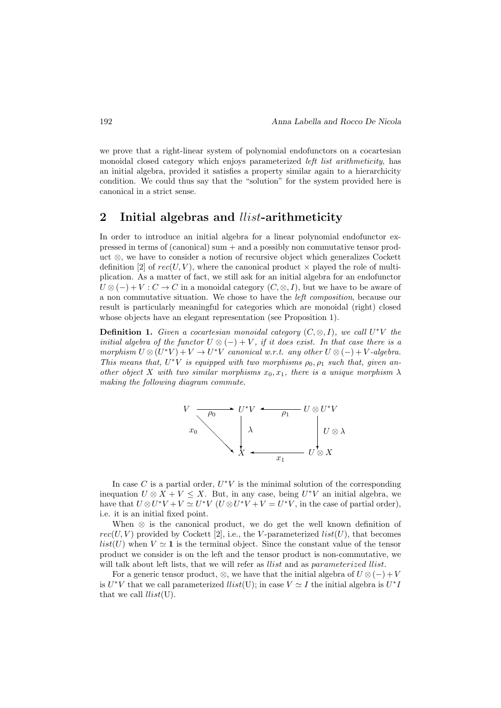we prove that a right-linear system of polynomial endofunctors on a cocartesian monoidal closed category which enjoys parameterized left list arithmeticity, has an initial algebra, provided it satisfies a property similar again to a hierarchicity condition. We could thus say that the "solution" for the system provided here is canonical in a strict sense.

## 2 Initial algebras and *llist*-arithmeticity

In order to introduce an initial algebra for a linear polynomial endofunctor expressed in terms of (canonical) sum + and a possibly non commutative tensor product ⊗, we have to consider a notion of recursive object which generalizes Cockett definition [2] of  $rec(U, V)$ , where the canonical product  $\times$  played the role of multiplication. As a matter of fact, we still ask for an initial algebra for an endofunctor  $U \otimes (-) + V : C \to C$  in a monoidal category  $(C, \otimes, I)$ , but we have to be aware of a non commutative situation. We chose to have the left composition, because our result is particularly meaningful for categories which are monoidal (right) closed whose objects have an elegant representation (see Proposition 1).

**Definition 1.** Given a cocartesian monoidal category  $(C, \otimes, I)$ , we call  $U^*V$  the initial algebra of the functor  $U \otimes (-) + V$ , if it does exist. In that case there is a morphism  $U \otimes (U^*V) + V \rightarrow U^*V$  canonical w.r.t. any other  $U \otimes (-) + V$ -algebra. This means that,  $U^*V$  is equipped with two morphisms  $\rho_0, \rho_1$  such that, given another object X with two similar morphisms  $x_0, x_1$ , there is a unique morphism  $\lambda$ making the following diagram commute.



In case  $C$  is a partial order,  $U^*V$  is the minimal solution of the corresponding inequation  $U \otimes X + V \leq X$ . But, in any case, being  $U^*V$  an initial algebra, we have that  $U \otimes U^*V + V \simeq U^*V$   $(U \otimes U^*V + V = U^*V$ , in the case of partial order), i.e. it is an initial fixed point.

When  $\otimes$  is the canonical product, we do get the well known definition of  $rec(U, V)$  provided by Cockett [2], i.e., the V-parameterized  $list(U)$ , that becomes *list*(U) when  $V \simeq 1$  is the terminal object. Since the constant value of the tensor product we consider is on the left and the tensor product is non-commutative, we will talk about left lists, that we will refer as *llist* and as *parameterized llist*.

For a generic tensor product, ⊗, we have that the initial algebra of  $U \otimes (-) + V$ is  $U^*V$  that we call parameterized  $llist(U)$ ; in case  $V \simeq I$  the initial algebra is  $U^*I$ that we call  $llist(U)$ .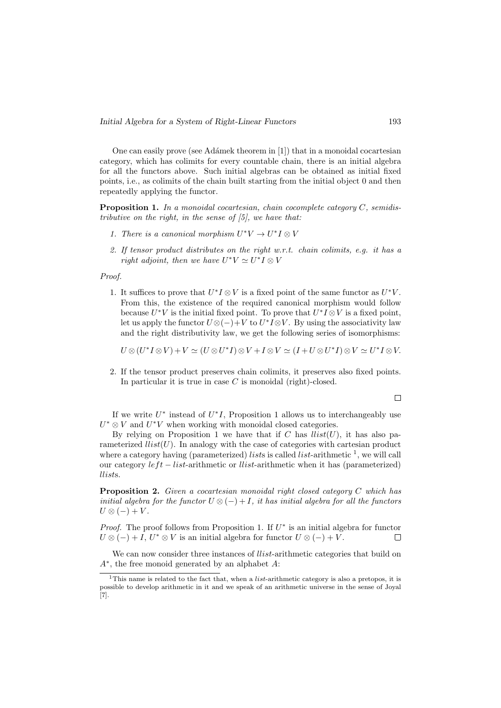One can easily prove (see Adámek theorem in [1]) that in a monoidal cocartesian category, which has colimits for every countable chain, there is an initial algebra for all the functors above. Such initial algebras can be obtained as initial fixed points, i.e., as colimits of the chain built starting from the initial object 0 and then repeatedly applying the functor.

**Proposition 1.** In a monoidal cocartesian, chain cocomplete category  $C$ , semidistributive on the right, in the sense of  $[5]$ , we have that:

- 1. There is a canonical morphism  $U^*V \to U^*I \otimes V$
- 2. If tensor product distributes on the right w.r.t. chain colimits, e.g. it has a right adjoint, then we have  $U^*V \simeq U^*I \otimes V$

Proof.

1. It suffices to prove that  $U^*I \otimes V$  is a fixed point of the same functor as  $U^*V$ . From this, the existence of the required canonical morphism would follow because  $U^*V$  is the initial fixed point. To prove that  $U^*I \otimes V$  is a fixed point, let us apply the functor  $U \otimes (-)+V$  to  $U^*I \otimes V$ . By using the associativity law and the right distributivity law, we get the following series of isomorphisms:

 $U \otimes (U^*I \otimes V) + V \simeq (U \otimes U^*I) \otimes V + I \otimes V \simeq (I + U \otimes U^*I) \otimes V \simeq U^*I \otimes V.$ 

2. If the tensor product preserves chain colimits, it preserves also fixed points. In particular it is true in case  $C$  is monoidal (right)-closed.

 $\Box$ 

If we write  $U^*$  instead of  $U^*I$ , Proposition 1 allows us to interchangeably use  $U^* \otimes V$  and  $U^*V$  when working with monoidal closed categories.

By relying on Proposition 1 we have that if C has  $llist(U)$ , it has also parameterized  $llist(U)$ . In analogy with the case of categories with cartesian product where a category having (parameterized) *lists* is called *list*-arithmetic  $\frac{1}{i}$ , we will call our category  $left - list$ -arithmetic or *llist*-arithmetic when it has (parameterized) llists.

Proposition 2. Given a cocartesian monoidal right closed category C which has initial algebra for the functor  $U \otimes (-) + I$ , it has initial algebra for all the functors  $U \otimes (-) + V$ .

*Proof.* The proof follows from Proposition 1. If  $U^*$  is an initial algebra for functor  $U \otimes (-) + I$ ,  $U^* \otimes V$  is an initial algebra for functor  $U \otimes (-) + V$ .  $\Box$ 

We can now consider three instances of *llist*-arithmetic categories that build on A<sup>∗</sup> , the free monoid generated by an alphabet A:

 $\overline{1}$ This name is related to the fact that, when a *list*-arithmetic category is also a pretopos, it is possible to develop arithmetic in it and we speak of an arithmetic universe in the sense of Joyal [7].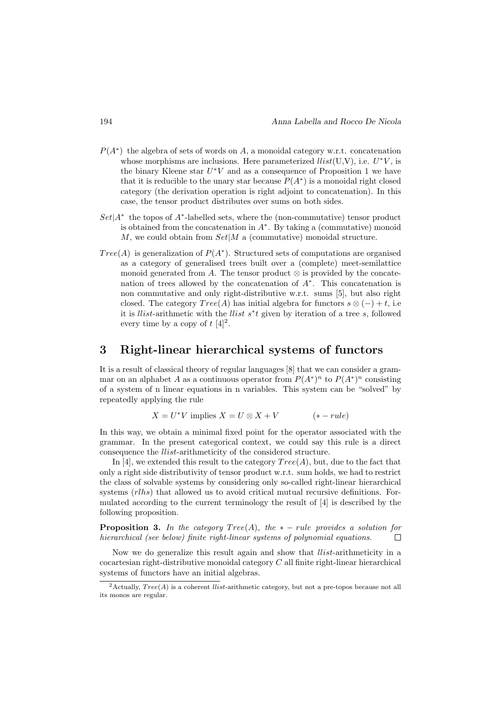- $P(A^*)$  the algebra of sets of words on A, a monoidal category w.r.t. concatenation whose morphisms are inclusions. Here parameterized  $llist(U,V)$ , i.e.  $U^*V$ , is the binary Kleene star  $U^*V$  and as a consequence of Proposition 1 we have that it is reducible to the unary star because  $P(A^*)$  is a monoidal right closed category (the derivation operation is right adjoint to concatenation). In this case, the tensor product distributes over sums on both sides.
- $Set|A^*$  the topos of  $A^*$ -labelled sets, where the (non-commutative) tensor product is obtained from the concatenation in  $A^*$ . By taking a (commutative) monoid  $M$ , we could obtain from  $Set|M$  a (commutative) monoidal structure.
- $Tree(A)$  is generalization of  $P(A^*)$ . Structured sets of computations are organised as a category of generalised trees built over a (complete) meet-semilattice monoid generated from A. The tensor product  $\otimes$  is provided by the concatenation of trees allowed by the concatenation of  $A^*$ . This concatenation is non commutative and only right-distributive w.r.t. sums [5], but also right closed. The category  $Tree(A)$  has initial algebra for functors  $s \otimes (-) + t$ , i.e it is llist-arithmetic with the llist s<sup>∗</sup> t given by iteration of a tree s, followed every time by a copy of  $t \ [4]^2$ .

## 3 Right-linear hierarchical systems of functors

It is a result of classical theory of regular languages [8] that we can consider a grammar on an alphabet A as a continuous operator from  $P(A^*)^n$  to  $P(A^*)^n$  consisting of a system of n linear equations in n variables. This system can be "solved" by repeatedly applying the rule

$$
X = U^*V \text{ implies } X = U \otimes X + V \qquad (*)
$$

In this way, we obtain a minimal fixed point for the operator associated with the grammar. In the present categorical context, we could say this rule is a direct consequence the llist-arithmeticity of the considered structure.

In [4], we extended this result to the category  $Tree(A)$ , but, due to the fact that only a right side distributivity of tensor product w.r.t. sum holds, we had to restrict the class of solvable systems by considering only so-called right-linear hierarchical systems (*rlhs*) that allowed us to avoid critical mutual recursive definitions. Formulated according to the current terminology the result of [4] is described by the following proposition.

**Proposition 3.** In the category  $Tree(A)$ , the  $* - rule$  provides a solution for hierarchical (see below) finite right-linear systems of polynomial equations.  $\Box$ 

Now we do generalize this result again and show that llist-arithmeticity in a cocartesian right-distributive monoidal category C all finite right-linear hierarchical systems of functors have an initial algebras.

<sup>&</sup>lt;sup>2</sup>Actually,  $Tree(A)$  is a coherent *llist*-arithmetic category, but not a pre-topos because not all its monos are regular.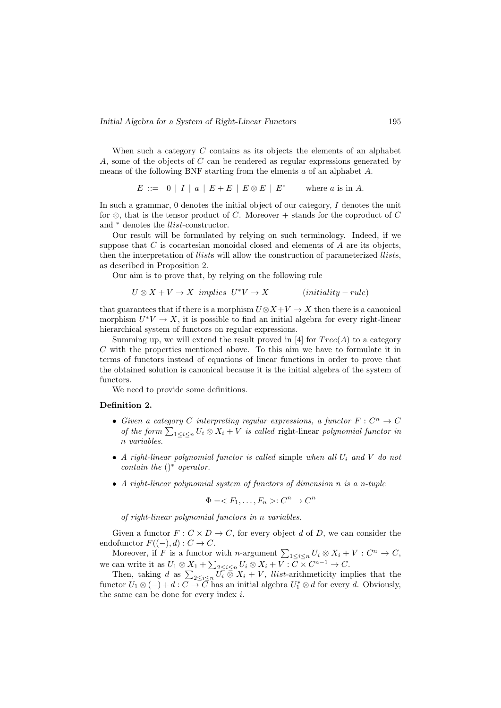When such a category  $C$  contains as its objects the elements of an alphabet  $A$ , some of the objects of  $C$  can be rendered as regular expressions generated by means of the following BNF starting from the elments a of an alphabet A.

> $E ::= 0 | I | a | E + E | E \otimes E | E^*$ where  $a$  is in  $A$ .

In such a grammar, 0 denotes the initial object of our category, I denotes the unit for  $\otimes$ , that is the tensor product of C. Moreover + stands for the coproduct of C and  $\hspace{0.1mm}^*$  denotes the  $llist\text{-}constructor.$ 

Our result will be formulated by relying on such terminology. Indeed, if we suppose that  $C$  is cocartesian monoidal closed and elements of  $A$  are its objects, then the interpretation of *llists* will allow the construction of parameterized *llists*. as described in Proposition 2.

Our aim is to prove that, by relying on the following rule

$$
U \otimes X + V \to X \implies U^*V \to X \qquad (initiality - rule)
$$

that guarantees that if there is a morphism  $U \otimes X + V \rightarrow X$  then there is a canonical morphism  $U^*V \to X$ , it is possible to find an initial algebra for every right-linear hierarchical system of functors on regular expressions.

Summing up, we will extend the result proved in [4] for  $Tree(A)$  to a category  $C$  with the properties mentioned above. To this aim we have to formulate it in terms of functors instead of equations of linear functions in order to prove that the obtained solution is canonical because it is the initial algebra of the system of functors.

We need to provide some definitions.

### Definition 2.

- Given a category C interpreting regular expressions, a functor  $F: C^n \to C$ of the form  $\sum_{1 \leq i \leq n} U_i \otimes X_i + V$  is called right-linear polynomial functor in n variables.
- A right-linear polynomial functor is called simple when all  $U_i$  and  $V$  do not contain the  $($ <sup>\*</sup> operator.
- A right-linear polynomial system of functors of dimension n is a n-tuple

 $\Phi = \langle F_1, \ldots, F_n \rangle : C^n \to C^n$ 

of right-linear polynomial functors in n variables.

Given a functor  $F: C \times D \to C$ , for every object d of D, we can consider the endofunctor  $F((-), d) : C \to C$ .

Moreover, if F is a functor with n-argument  $\sum_{1 \leq i \leq n} U_i \otimes X_i + V : C^n \to C$ , we can write it as  $U_1 \otimes X_1 + \sum_{2 \leq i \leq n} U_i \otimes X_i + V : \overline{C} \times C^{n-1} \to C$ .

Then, taking d as  $\sum_{2 \leq i \leq n} U_i \otimes X_i + V$ , *llist*-arithmeticity implies that the functor  $U_1 \otimes (-) + d : C \to \overline{C}$  has an initial algebra  $U_1^* \otimes d$  for every d. Obviously, the same can be done for every index  $i$ .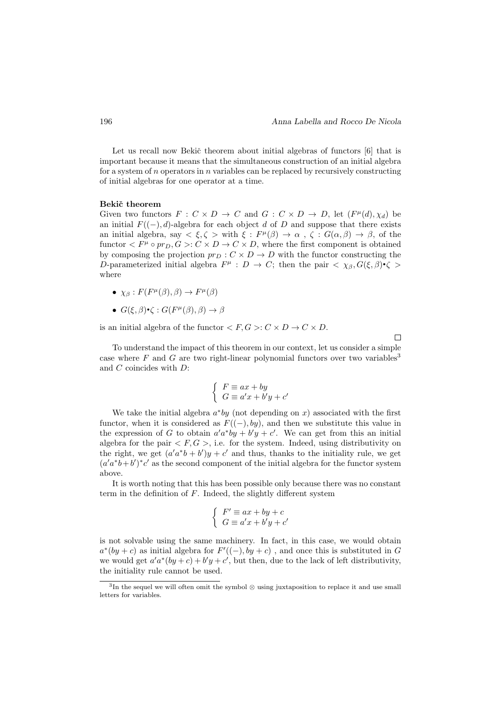Let us recall now Bekič theorem about initial algebras of functors [6] that is important because it means that the simultaneous construction of an initial algebra for a system of n operators in n variables can be replaced by recursively constructing of initial algebras for one operator at a time.

#### Bekič theorem

Given two functors  $F: C \times D \to C$  and  $G: C \times D \to D$ , let  $(F^{\mu}(d), \chi_d)$  be an initial  $F((-), d)$ -algebra for each object d of D and suppose that there exists an initial algebra, say  $\langle \xi, \zeta \rangle$  with  $\xi : F^{\mu}(\beta) \to \alpha$ ,  $\zeta : G(\alpha, \beta) \to \beta$ , of the functor  $\langle F^{\mu} \circ pr_D, G \rangle: C \times D \to C \times D$ , where the first component is obtained by composing the projection  $pr_D : C \times D \to D$  with the functor constructing the D-parameterized initial algebra  $F^{\mu}: D \to C$ ; then the pair  $\langle \chi_{\beta}, G(\xi, \beta) \cdot \zeta \rangle$ where

- $\chi_{\beta}: F(F^{\mu}(\beta), \beta) \to F^{\mu}(\beta)$
- $G(\xi, \beta) \cdot \zeta : G(F^{\mu}(\beta), \beta) \rightarrow \beta$

is an initial algebra of the functor  $\langle F, G \rangle: C \times D \to C \times D$ .

To understand the impact of this theorem in our context, let us consider a simple case where  $F$  and  $G$  are two right-linear polynomial functors over two variables<sup>3</sup> and C coincides with D:

$$
\begin{cases}\nF \equiv ax + by \\
G \equiv a'x + b'y + c'\n\end{cases}
$$

We take the initial algebra  $a^*by$  (not depending on x) associated with the first functor, when it is considered as  $F((-), by)$ , and then we substitute this value in the expression of G to obtain  $a'a^*by + b'y + c'$ . We can get from this an initial algebra for the pair  $\langle F, G \rangle$ , i.e. for the system. Indeed, using distributivity on the right, we get  $(a'a^*b + b')y + c'$  and thus, thanks to the initiality rule, we get  $(a'a^*b+b')^*c'$  as the second component of the initial algebra for the functor system above.

It is worth noting that this has been possible only because there was no constant term in the definition of  $F$ . Indeed, the slightly different system

$$
\begin{cases}\nF' \equiv ax + by + c \\
G \equiv a'x + b'y + c'\n\end{cases}
$$

is not solvable using the same machinery. In fact, in this case, we would obtain  $a^*(by + c)$  as initial algebra for  $F'((-), by + c)$ , and once this is substituted in G we would get  $a'a^*(by+c) + b'y + c'$ , but then, due to the lack of left distributivity, the initiality rule cannot be used.

 $\Box$ 

<sup>3</sup> In the sequel we will often omit the symbol ⊗ using juxtaposition to replace it and use small letters for variables.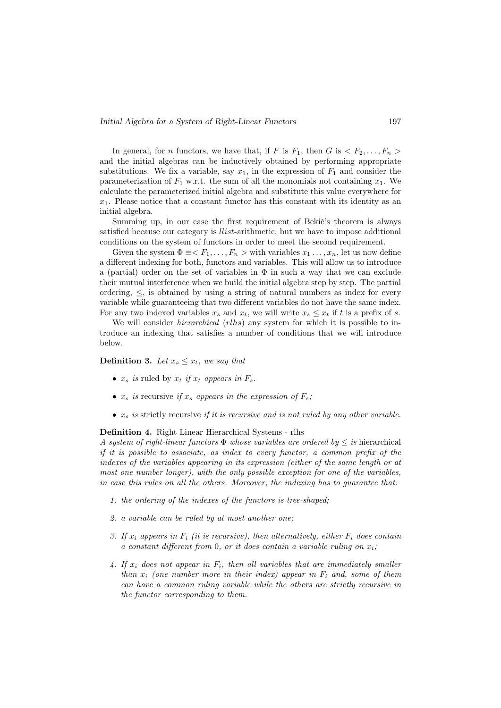In general, for *n* functors, we have that, if F is  $F_1$ , then G is  $\langle F_2, \ldots, F_n \rangle$ and the initial algebras can be inductively obtained by performing appropriate substitutions. We fix a variable, say  $x_1$ , in the expression of  $F_1$  and consider the parameterization of  $F_1$  w.r.t. the sum of all the monomials not containing  $x_1$ . We calculate the parameterized initial algebra and substitute this value everywhere for  $x_1$ . Please notice that a constant functor has this constant with its identity as an initial algebra.

Summing up, in our case the first requirement of Bekic's theorem is always satisfied because our category is *llist*-arithmetic; but we have to impose additional conditions on the system of functors in order to meet the second requirement.

Given the system  $\Phi \equiv \langle F_1, \ldots, F_n \rangle$  with variables  $x_1, \ldots, x_n$ , let us now define a different indexing for both, functors and variables. This will allow us to introduce a (partial) order on the set of variables in  $\Phi$  in such a way that we can exclude their mutual interference when we build the initial algebra step by step. The partial ordering,  $\leq$ , is obtained by using a string of natural numbers as index for every variable while guaranteeing that two different variables do not have the same index. For any two indexed variables  $x_s$  and  $x_t$ , we will write  $x_s \leq x_t$  if t is a prefix of s.

We will consider *hierarchical* (*rlhs*) any system for which it is possible to introduce an indexing that satisfies a number of conditions that we will introduce below.

### **Definition 3.** Let  $x_s \leq x_t$ , we say that

- $x_s$  is ruled by  $x_t$  if  $x_t$  appears in  $F_s$ .
- $x_s$  is recursive if  $x_s$  appears in the expression of  $F_s$ ;
- $x_s$  is strictly recursive if it is recursive and is not ruled by any other variable.

### Definition 4. Right Linear Hierarchical Systems - rlhs

A system of right-linear functors  $\Phi$  whose variables are ordered by  $\leq$  is hierarchical if it is possible to associate, as index to every functor, a common prefix of the indexes of the variables appearing in its expression (either of the same length or at most one number longer), with the only possible exception for one of the variables, in case this rules on all the others. Moreover, the indexing has to guarantee that:

- 1. the ordering of the indexes of the functors is tree-shaped;
- 2. a variable can be ruled by at most another one;
- 3. If  $x_i$  appears in  $F_i$  (it is recursive), then alternatively, either  $F_i$  does contain a constant different from 0, or it does contain a variable ruling on  $x_i$ ;
- 4. If  $x_i$  does not appear in  $F_i$ , then all variables that are immediately smaller than  $x_i$  (one number more in their index) appear in  $F_i$  and, some of them can have a common ruling variable while the others are strictly recursive in the functor corresponding to them.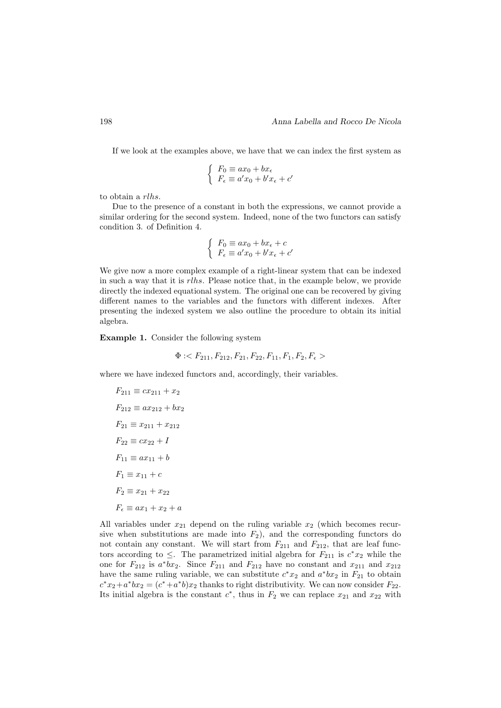If we look at the examples above, we have that we can index the first system as

$$
\begin{cases}\nF_0 \equiv ax_0 + bx_{\epsilon} \\
F_{\epsilon} \equiv a'x_0 + b'x_{\epsilon} + c'\n\end{cases}
$$

to obtain a rlhs.

Due to the presence of a constant in both the expressions, we cannot provide a similar ordering for the second system. Indeed, none of the two functors can satisfy condition 3. of Definition 4.

$$
\begin{cases}\nF_0 \equiv ax_0 + bx_{\epsilon} + c \\
F_{\epsilon} \equiv a'x_0 + b'x_{\epsilon} + c'\n\end{cases}
$$

We give now a more complex example of a right-linear system that can be indexed in such a way that it is rlhs. Please notice that, in the example below, we provide directly the indexed equational system. The original one can be recovered by giving different names to the variables and the functors with different indexes. After presenting the indexed system we also outline the procedure to obtain its initial algebra.

Example 1. Consider the following system

$$
\Phi: < F_{211}, F_{212}, F_{21}, F_{22}, F_{11}, F_1, F_2, F_\epsilon>
$$

where we have indexed functors and, accordingly, their variables.

$$
F_{211} \equiv cx_{211} + x_2
$$
  
\n
$$
F_{212} \equiv ax_{212} + bx_2
$$
  
\n
$$
F_{21} \equiv x_{211} + x_{212}
$$
  
\n
$$
F_{22} \equiv cx_{22} + I
$$
  
\n
$$
F_{11} \equiv ax_{11} + b
$$
  
\n
$$
F_1 \equiv x_{11} + c
$$
  
\n
$$
F_2 \equiv x_{21} + x_{22}
$$
  
\n
$$
F_{\epsilon} \equiv ax_1 + x_2 + a
$$

All variables under  $x_{21}$  depend on the ruling variable  $x_2$  (which becomes recursive when substitutions are made into  $F_2$ ), and the corresponding functors do not contain any constant. We will start from  $F_{211}$  and  $F_{212}$ , that are leaf functors according to  $\leq$ . The parametrized initial algebra for  $F_{211}$  is  $c^*x_2$  while the one for  $F_{212}$  is  $a^*bx_2$ . Since  $F_{211}$  and  $F_{212}$  have no constant and  $x_{211}$  and  $x_{212}$ have the same ruling variable, we can substitute  $c^*x_2$  and  $a^*bx_2$  in  $F_{21}$  to obtain  $c^*x_2+a^*bx_2=(c^*+a^*b)x_2$  thanks to right distributivity. We can now consider  $F_{22}$ . Its initial algebra is the constant  $c^*$ , thus in  $F_2$  we can replace  $x_{21}$  and  $x_{22}$  with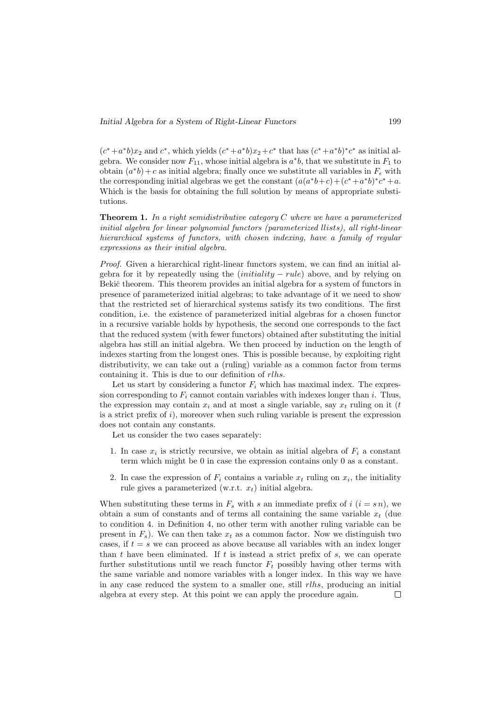$(c^*+a^*b)x_2$  and  $c^*$ , which yields  $(c^*+a^*b)x_2+c^*$  that has  $(c^*+a^*b)^*c^*$  as initial algebra. We consider now  $F_{11}$ , whose initial algebra is  $a^*b$ , that we substitute in  $F_1$  to obtain  $(a^*b) + c$  as initial algebra; finally once we substitute all variables in  $F_{\epsilon}$  with the corresponding initial algebras we get the constant  $(a(a^*b+c)+(c^*+a^*b)^*c^*+a)$ . Which is the basis for obtaining the full solution by means of appropriate substitutions.

**Theorem 1.** In a right semidistributive category C where we have a parameterized initial algebra for linear polynomial functors (parameterized llists), all right-linear hierarchical systems of functors, with chosen indexing, have a family of regular expressions as their initial algebra.

Proof. Given a hierarchical right-linear functors system, we can find an initial algebra for it by repeatedly using the  $(initiality - rule)$  above, and by relying on Bekič theorem. This theorem provides an initial algebra for a system of functors in presence of parameterized initial algebras; to take advantage of it we need to show that the restricted set of hierarchical systems satisfy its two conditions. The first condition, i.e. the existence of parameterized initial algebras for a chosen functor in a recursive variable holds by hypothesis, the second one corresponds to the fact that the reduced system (with fewer functors) obtained after substituting the initial algebra has still an initial algebra. We then proceed by induction on the length of indexes starting from the longest ones. This is possible because, by exploiting right distributivity, we can take out a (ruling) variable as a common factor from terms containing it. This is due to our definition of rlhs.

Let us start by considering a functor  $F_i$  which has maximal index. The expression corresponding to  $F_i$  cannot contain variables with indexes longer than i. Thus, the expression may contain  $x_i$  and at most a single variable, say  $x_t$  ruling on it (t is a strict prefix of  $i$ ), moreover when such ruling variable is present the expression does not contain any constants.

Let us consider the two cases separately:

- 1. In case  $x_i$  is strictly recursive, we obtain as initial algebra of  $F_i$  a constant term which might be 0 in case the expression contains only 0 as a constant.
- 2. In case the expression of  $F_i$  contains a variable  $x_t$  ruling on  $x_i$ , the initiality rule gives a parameterized (w.r.t.  $x_t$ ) initial algebra.

When substituting these terms in  $F_s$  with s an immediate prefix of i  $(i = s n)$ , we obtain a sum of constants and of terms all containing the same variable  $x_t$  (due to condition 4. in Definition 4, no other term with another ruling variable can be present in  $F_s$ ). We can then take  $x_t$  as a common factor. Now we distinguish two cases, if  $t = s$  we can proceed as above because all variables with an index longer than t have been eliminated. If t is instead a strict prefix of  $s$ , we can operate further substitutions until we reach functor  $F_t$  possibly having other terms with the same variable and nomore variables with a longer index. In this way we have in any case reduced the system to a smaller one, still  $rlhs$ , producing an initial algebra at every step. At this point we can apply the procedure again. $\Box$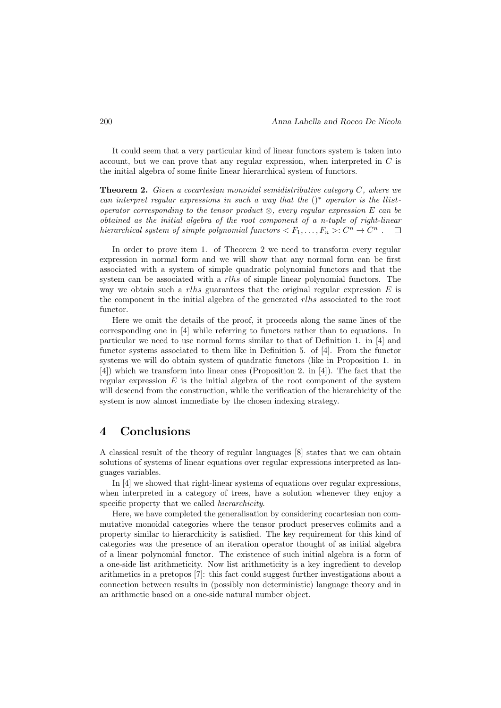It could seem that a very particular kind of linear functors system is taken into account, but we can prove that any regular expression, when interpreted in  $C$  is the initial algebra of some finite linear hierarchical system of functors.

**Theorem 2.** Given a cocartesian monoidal semidistributive category  $C$ , where we can interpret regular expressions in such a way that the  $()^*$  operator is the llistoperator corresponding to the tensor product  $\otimes$ , every regular expression E can be obtained as the initial algebra of the root component of a n-tuple of right-linear hierarchical system of simple polynomial functors  $\langle F_1,\ldots,F_n\rangle: C^n \to C^n$ .

In order to prove item 1. of Theorem 2 we need to transform every regular expression in normal form and we will show that any normal form can be first associated with a system of simple quadratic polynomial functors and that the system can be associated with a *rlhs* of simple linear polynomial functors. The way we obtain such a rlhs guarantees that the original regular expression  $E$  is the component in the initial algebra of the generated rlhs associated to the root functor.

Here we omit the details of the proof, it proceeds along the same lines of the corresponding one in [4] while referring to functors rather than to equations. In particular we need to use normal forms similar to that of Definition 1. in [4] and functor systems associated to them like in Definition 5. of [4]. From the functor systems we will do obtain system of quadratic functors (like in Proposition 1. in [4]) which we transform into linear ones (Proposition 2. in [4]). The fact that the regular expression  $E$  is the initial algebra of the root component of the system will descend from the construction, while the verification of the hierarchicity of the system is now almost immediate by the chosen indexing strategy.

## 4 Conclusions

A classical result of the theory of regular languages [8] states that we can obtain solutions of systems of linear equations over regular expressions interpreted as languages variables.

In [4] we showed that right-linear systems of equations over regular expressions, when interpreted in a category of trees, have a solution whenever they enjoy a specific property that we called hierarchicity.

Here, we have completed the generalisation by considering cocartesian non commutative monoidal categories where the tensor product preserves colimits and a property similar to hierarchicity is satisfied. The key requirement for this kind of categories was the presence of an iteration operator thought of as initial algebra of a linear polynomial functor. The existence of such initial algebra is a form of a one-side list arithmeticity. Now list arithmeticity is a key ingredient to develop arithmetics in a pretopos [7]: this fact could suggest further investigations about a connection between results in (possibly non deterministic) language theory and in an arithmetic based on a one-side natural number object.